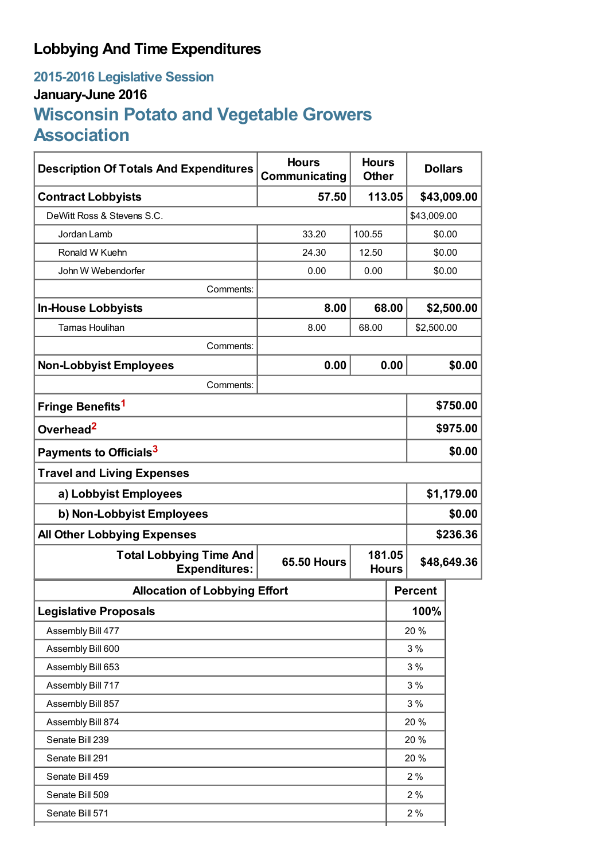# **Lobbying And Time Expenditures**

# **2015-2016 Legislative Session January-June 2016 Wisconsin Potato and Vegetable Growers Association**

| <b>Description Of Totals And Expenditures</b>          | <b>Hours</b><br>Communicating                | <b>Hours</b><br><b>Other</b> |    | <b>Dollars</b> |          |
|--------------------------------------------------------|----------------------------------------------|------------------------------|----|----------------|----------|
| <b>Contract Lobbyists</b>                              | 57.50                                        | 113.05                       |    | \$43,009.00    |          |
| DeWitt Ross & Stevens S.C.                             |                                              |                              |    | \$43,009.00    |          |
| Jordan Lamb                                            | 33.20                                        | 100.55                       |    | \$0.00         |          |
| Ronald W Kuehn                                         | 24.30                                        | 12.50                        |    | \$0.00         |          |
| John W Webendorfer                                     | 0.00                                         | 0.00                         |    | \$0.00         |          |
| Comments:                                              |                                              |                              |    |                |          |
| <b>In-House Lobbyists</b>                              | 8.00                                         | 68.00                        |    | \$2,500.00     |          |
| <b>Tamas Houlihan</b>                                  | 8.00                                         | 68.00                        |    | \$2,500.00     |          |
| Comments:                                              |                                              |                              |    |                |          |
| <b>Non-Lobbyist Employees</b>                          | 0.00                                         | 0.00                         |    | \$0.00         |          |
| Comments:                                              |                                              |                              |    |                |          |
| Fringe Benefits <sup>1</sup>                           |                                              |                              |    | \$750.00       |          |
| Overhead <sup>2</sup>                                  |                                              |                              |    | \$975.00       |          |
| Payments to Officials <sup>3</sup>                     |                                              |                              |    | \$0.00         |          |
| <b>Travel and Living Expenses</b>                      |                                              |                              |    |                |          |
| a) Lobbyist Employees                                  |                                              |                              |    | \$1,179.00     |          |
| b) Non-Lobbyist Employees                              |                                              |                              |    | \$0.00         |          |
| <b>All Other Lobbying Expenses</b>                     |                                              |                              |    |                | \$236.36 |
| <b>Total Lobbying Time And</b><br><b>Expenditures:</b> | 181.05<br><b>65.50 Hours</b><br><b>Hours</b> |                              |    | \$48,649.36    |          |
| <b>Allocation of Lobbying Effort</b>                   |                                              |                              |    | <b>Percent</b> |          |
| <b>Legislative Proposals</b>                           |                                              |                              |    | 100%           |          |
| Assembly Bill 477                                      |                                              |                              |    | 20 %           |          |
| Assembly Bill 600                                      |                                              |                              |    | 3%             |          |
| Assembly Bill 653                                      |                                              |                              | 3% |                |          |
| Assembly Bill 717                                      |                                              |                              |    | 3%             |          |
| Assembly Bill 857                                      |                                              |                              |    | 3%             |          |
| Assembly Bill 874                                      |                                              |                              |    | 20 %           |          |
| Senate Bill 239                                        |                                              |                              |    | 20 %           |          |
| Senate Bill 291                                        |                                              |                              |    | 20 %           |          |
| Senate Bill 459                                        |                                              |                              |    | 2%             |          |
| Senate Bill 509                                        |                                              |                              |    | 2%             |          |
| Senate Bill 571                                        |                                              |                              |    | 2%             |          |